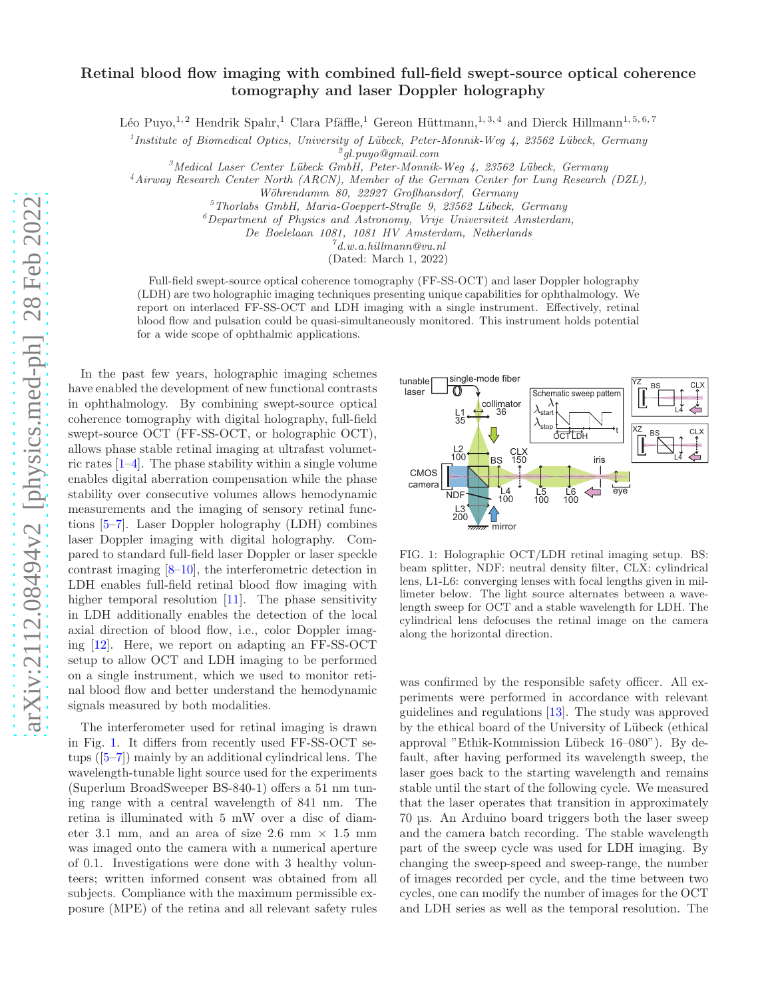# Retinal blood flow imaging with combined full-field swept-source optical coherence tomography and laser Doppler holography

Léo Puyo,<sup>1, 2</sup> Hendrik Spahr,<sup>1</sup> Clara Pfäffle,<sup>1</sup> Gereon Hüttmann,<sup>1, 3, 4</sup> and Dierck Hillmann<sup>1, 5, 6, 7</sup>

<sup>1</sup> Institute of Biomedical Optics, University of Lübeck, Peter-Monnik-Weg 4, 23562 Lübeck, Germany

2 gl.puyo@gmail.com

 $3$ Medical Laser Center Lübeck GmbH, Peter-Monnik-Weg 4, 23562 Lübeck, Germany

<sup>4</sup>Airway Research Center North (ARCN), Member of the German Center for Lung Research (DZL),

Wöhrendamm 80, 22927 Großhansdorf, Germany

 $5$ Thorlabs GmbH, Maria-Goeppert-Straße 9, 23562 Lübeck, Germany

 ${}^6$ Department of Physics and Astronomy, Vrije Universiteit Amsterdam,

De Boelelaan 1081, 1081 HV Amsterdam, Netherlands

 $^7$ d.w.a.hillmann@vu.nl

(Dated: March 1, 2022)

Full-field swept-source optical coherence tomography (FF-SS-OCT) and laser Doppler holography (LDH) are two holographic imaging techniques presenting unique capabilities for ophthalmology. We report on interlaced FF-SS-OCT and LDH imaging with a single instrument. Effectively, retinal blood flow and pulsation could be quasi-simultaneously monitored. This instrument holds potential for a wide scope of ophthalmic applications.

In the past few years, holographic imaging schemes have enabled the development of new functional contrasts in ophthalmology. By combining swept-source optical coherence tomography with digital holography, full-field swept-source OCT (FF-SS-OCT, or holographic OCT), allows phase stable retinal imaging at ultrafast volumetric rates [\[1](#page-4-0)[–4\]](#page-4-1). The phase stability within a single volume enables digital aberration compensation while the phase stability over consecutive volumes allows hemodynamic measurements and the imaging of sensory retinal functions [\[5](#page-4-2)[–7\]](#page-4-3). Laser Doppler holography (LDH) combines laser Doppler imaging with digital holography. Compared to standard full-field laser Doppler or laser speckle contrast imaging [\[8](#page-4-4)[–10](#page-4-5)], the interferometric detection in LDH enables full-field retinal blood flow imaging with higher temporal resolution [\[11\]](#page-4-6). The phase sensitivity in LDH additionally enables the detection of the local axial direction of blood flow, i.e., color Doppler imaging [\[12\]](#page-4-7). Here, we report on adapting an FF-SS-OCT setup to allow OCT and LDH imaging to be performed on a single instrument, which we used to monitor retinal blood flow and better understand the hemodynamic signals measured by both modalities.

The interferometer used for retinal imaging is drawn in Fig. [1.](#page-0-0) It differs from recently used FF-SS-OCT setups ([\[5](#page-4-2)[–7\]](#page-4-3)) mainly by an additional cylindrical lens. The wavelength-tunable light source used for the experiments (Superlum BroadSweeper BS-840-1) offers a 51 nm tuning range with a central wavelength of 841 nm. The retina is illuminated with 5 mW over a disc of diameter 3.1 mm, and an area of size 2.6 mm  $\times$  1.5 mm was imaged onto the camera with a numerical aperture of 0.1. Investigations were done with 3 healthy volunteers; written informed consent was obtained from all subjects. Compliance with the maximum permissible exposure (MPE) of the retina and all relevant safety rules



<span id="page-0-0"></span>FIG. 1: Holographic OCT/LDH retinal imaging setup. BS: beam splitter, NDF: neutral density filter, CLX: cylindrical lens, L1-L6: converging lenses with focal lengths given in millimeter below. The light source alternates between a wavelength sweep for OCT and a stable wavelength for LDH. The cylindrical lens defocuses the retinal image on the camera along the horizontal direction.

was confirmed by the responsible safety officer. All experiments were performed in accordance with relevant guidelines and regulations [\[13\]](#page-4-8). The study was approved by the ethical board of the University of Lübeck (ethical approval "Ethik-Kommission Lübeck 16–080"). By default, after having performed its wavelength sweep, the laser goes back to the starting wavelength and remains stable until the start of the following cycle. We measured that the laser operates that transition in approximately 70 µs. An Arduino board triggers both the laser sweep and the camera batch recording. The stable wavelength part of the sweep cycle was used for LDH imaging. By changing the sweep-speed and sweep-range, the number of images recorded per cycle, and the time between two cycles, one can modify the number of images for the OCT and LDH series as well as the temporal resolution. The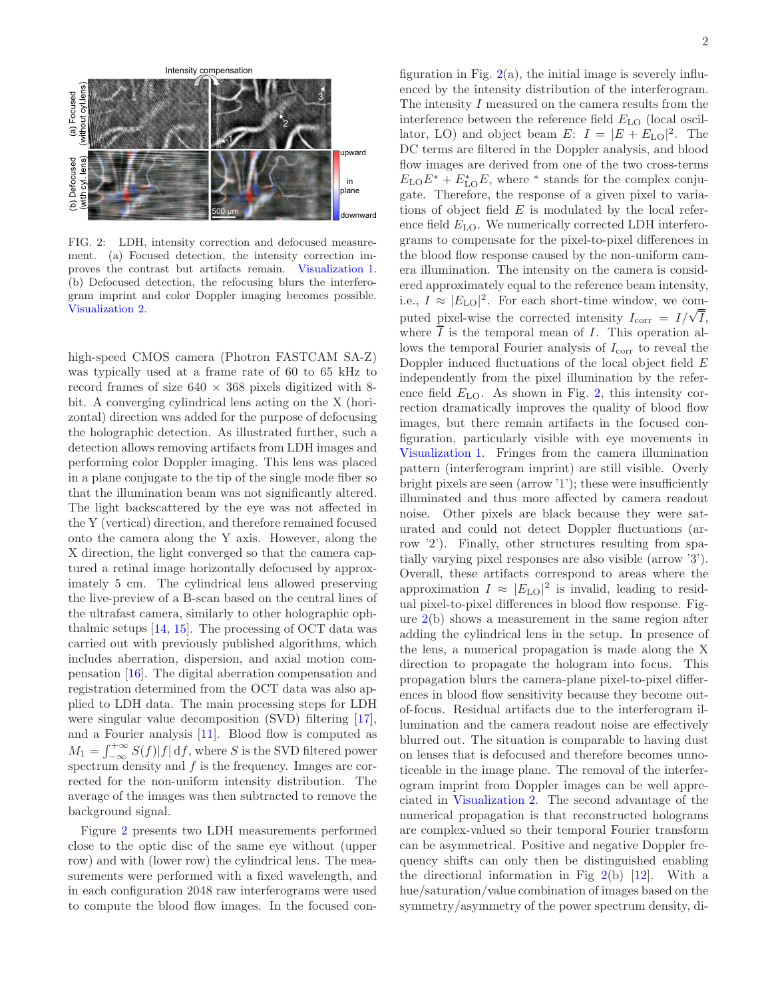

<span id="page-1-0"></span>FIG. 2: LDH, intensity correction and defocused measurement. (a) Focused detection, the intensity correction improves the contrast but artifacts remain. [Visualization 1.](https://opticapublishing.figshare.com/articles/media/Visualization_1_mp4/17207060) (b) Defocused detection, the refocusing blurs the interferogram imprint and color Doppler imaging becomes possible. [Visualization 2.](https://opticapublishing.figshare.com/articles/media/Visualization_2_mp4/17207069)

high-speed CMOS camera (Photron FASTCAM SA-Z) was typically used at a frame rate of 60 to 65 kHz to record frames of size  $640 \times 368$  pixels digitized with 8bit. A converging cylindrical lens acting on the X (horizontal) direction was added for the purpose of defocusing the holographic detection. As illustrated further, such a detection allows removing artifacts from LDH images and performing color Doppler imaging. This lens was placed in a plane conjugate to the tip of the single mode fiber so that the illumination beam was not significantly altered. The light backscattered by the eye was not affected in the Y (vertical) direction, and therefore remained focused onto the camera along the Y axis. However, along the X direction, the light converged so that the camera captured a retinal image horizontally defocused by approximately 5 cm. The cylindrical lens allowed preserving the live-preview of a B-scan based on the central lines of the ultrafast camera, similarly to other holographic ophthalmic setups  $[14, 15]$  $[14, 15]$ . The processing of OCT data was carried out with previously published algorithms, which includes aberration, dispersion, and axial motion compensation [\[16\]](#page-4-11). The digital aberration compensation and registration determined from the OCT data was also applied to LDH data. The main processing steps for LDH were singular value decomposition (SVD) filtering [\[17\]](#page-4-12), and a Fourier analysis [\[11](#page-4-6)]. Blood flow is computed as  $M_1 = \int_{-\infty}^{+\infty} S(f)|f| \, df$ , where S is the SVD filtered power spectrum density and f is the frequency. Images are corrected for the non-uniform intensity distribution. The average of the images was then subtracted to remove the background signal.

Figure [2](#page-1-0) presents two LDH measurements performed close to the optic disc of the same eye without (upper row) and with (lower row) the cylindrical lens. The measurements were performed with a fixed wavelength, and in each configuration 2048 raw interferograms were used to compute the blood flow images. In the focused con-

figuration in Fig.  $2(a)$  $2(a)$ , the initial image is severely influenced by the intensity distribution of the interferogram. The intensity  $I$  measured on the camera results from the interference between the reference field  $E_{\text{LO}}$  (local oscillator, LO) and object beam  $E: I = |E + E_{\text{LO}}|^2$ . The DC terms are filtered in the Doppler analysis, and blood flow images are derived from one of the two cross-terms  $E_{\text{LO}}E^* + E_{\text{LO}}^*E$ , where \* stands for the complex conjugate. Therefore, the response of a given pixel to variations of object field  $E$  is modulated by the local reference field  $E_{\text{LO}}$ . We numerically corrected LDH interferograms to compensate for the pixel-to-pixel differences in the blood flow response caused by the non-uniform camera illumination. The intensity on the camera is considered approximately equal to the reference beam intensity, i.e.,  $I \approx |E_{\text{LO}}|^2$ . For each short-time window, we computed pixel-wise the corrected intensity  $I_{\text{corr}} = I/\sqrt{\overline{I}},$ where  $\overline{I}$  is the temporal mean of I. This operation allows the temporal Fourier analysis of  $I_{\text{corr}}$  to reveal the Doppler induced fluctuations of the local object field E independently from the pixel illumination by the reference field  $E_{\text{LO}}$ . As shown in Fig. [2,](#page-1-0) this intensity correction dramatically improves the quality of blood flow images, but there remain artifacts in the focused configuration, particularly visible with eye movements in [Visualization 1.](https://opticapublishing.figshare.com/articles/media/Visualization_1_mp4/17207060) Fringes from the camera illumination pattern (interferogram imprint) are still visible. Overly bright pixels are seen (arrow '1'); these were insufficiently illuminated and thus more affected by camera readout noise. Other pixels are black because they were saturated and could not detect Doppler fluctuations (arrow '2'). Finally, other structures resulting from spatially varying pixel responses are also visible (arrow '3'). Overall, these artifacts correspond to areas where the approximation  $I \approx |E_{\text{LO}}|^2$  is invalid, leading to residual pixel-to-pixel differences in blood flow response. Figure [2\(](#page-1-0)b) shows a measurement in the same region after adding the cylindrical lens in the setup. In presence of the lens, a numerical propagation is made along the X direction to propagate the hologram into focus. This propagation blurs the camera-plane pixel-to-pixel differences in blood flow sensitivity because they become outof-focus. Residual artifacts due to the interferogram illumination and the camera readout noise are effectively blurred out. The situation is comparable to having dust on lenses that is defocused and therefore becomes unnoticeable in the image plane. The removal of the interferogram imprint from Doppler images can be well appreciated in [Visualization 2.](https://opticapublishing.figshare.com/articles/media/Visualization_2_mp4/17207069) The second advantage of the numerical propagation is that reconstructed holograms are complex-valued so their temporal Fourier transform can be asymmetrical. Positive and negative Doppler frequency shifts can only then be distinguished enabling the directional information in Fig  $2(b)$  $2(b)$  [\[12](#page-4-7)]. With a hue/saturation/value combination of images based on the symmetry/asymmetry of the power spectrum density, di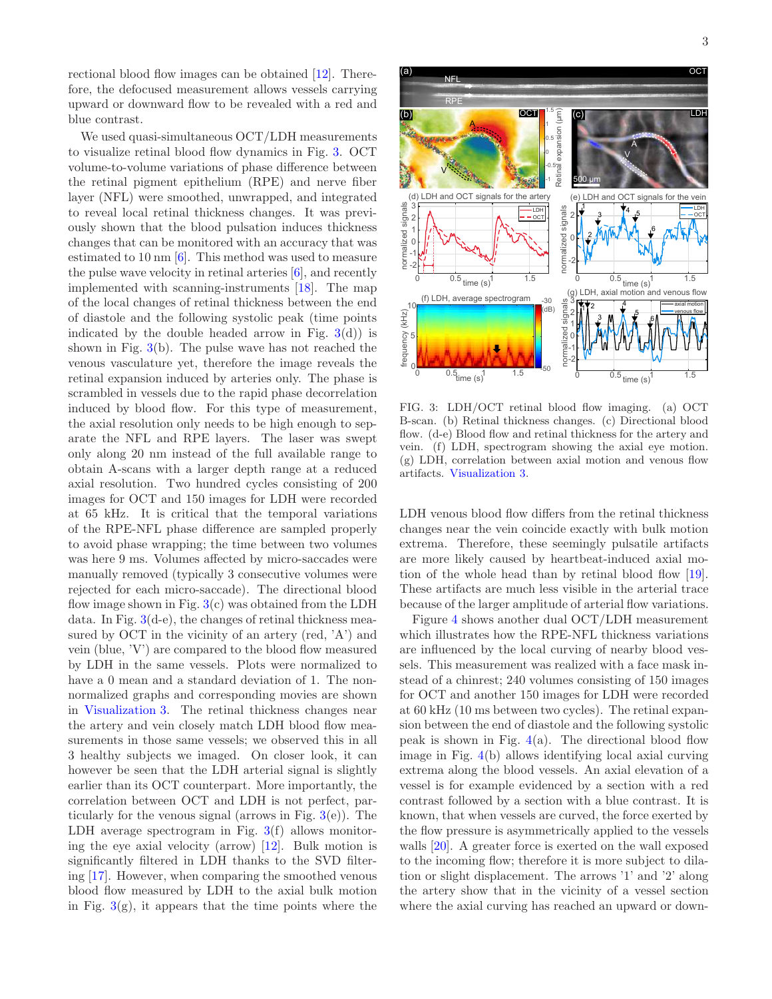rectional blood flow images can be obtained [\[12\]](#page-4-7). Therefore, the defocused measurement allows vessels carrying upward or downward flow to be revealed with a red and blue contrast.

We used quasi-simultaneous OCT/LDH measurements to visualize retinal blood flow dynamics in Fig. [3.](#page-2-0) OCT volume-to-volume variations of phase difference between the retinal pigment epithelium (RPE) and nerve fiber layer (NFL) were smoothed, unwrapped, and integrated to reveal local retinal thickness changes. It was previously shown that the blood pulsation induces thickness changes that can be monitored with an accuracy that was estimated to 10 nm [\[6\]](#page-4-13). This method was used to measure the pulse wave velocity in retinal arteries [\[6](#page-4-13)], and recently implemented with scanning-instruments [\[18\]](#page-5-0). The map of the local changes of retinal thickness between the end of diastole and the following systolic peak (time points indicated by the double headed arrow in Fig.  $3(d)$  $3(d)$  is shown in Fig. [3\(](#page-2-0)b). The pulse wave has not reached the venous vasculature yet, therefore the image reveals the retinal expansion induced by arteries only. The phase is scrambled in vessels due to the rapid phase decorrelation induced by blood flow. For this type of measurement, the axial resolution only needs to be high enough to separate the NFL and RPE layers. The laser was swept only along 20 nm instead of the full available range to obtain A-scans with a larger depth range at a reduced axial resolution. Two hundred cycles consisting of 200 images for OCT and 150 images for LDH were recorded at 65 kHz. It is critical that the temporal variations of the RPE-NFL phase difference are sampled properly to avoid phase wrapping; the time between two volumes was here 9 ms. Volumes affected by micro-saccades were manually removed (typically 3 consecutive volumes were rejected for each micro-saccade). The directional blood flow image shown in Fig.  $3(c)$  $3(c)$  was obtained from the LDH data. In Fig.  $3(d-e)$  $3(d-e)$ , the changes of retinal thickness measured by OCT in the vicinity of an artery (red,  $'A'$ ) and vein (blue, 'V') are compared to the blood flow measured by LDH in the same vessels. Plots were normalized to have a 0 mean and a standard deviation of 1. The nonnormalized graphs and corresponding movies are shown in [Visualization 3.](https://opticapublishing.figshare.com/articles/media/Visualization_3_mp4/17207072) The retinal thickness changes near the artery and vein closely match LDH blood flow measurements in those same vessels; we observed this in all 3 healthy subjects we imaged. On closer look, it can however be seen that the LDH arterial signal is slightly earlier than its OCT counterpart. More importantly, the correlation between OCT and LDH is not perfect, particularly for the venous signal (arrows in Fig.  $3(e)$  $3(e)$ ). The LDH average spectrogram in Fig.  $3(f)$  $3(f)$  allows monitoring the eye axial velocity (arrow) [\[12\]](#page-4-7). Bulk motion is significantly filtered in LDH thanks to the SVD filtering [\[17\]](#page-4-12). However, when comparing the smoothed venous blood flow measured by LDH to the axial bulk motion in Fig.  $3(g)$  $3(g)$ , it appears that the time points where the



<span id="page-2-0"></span>FIG. 3: LDH/OCT retinal blood flow imaging. (a) OCT B-scan. (b) Retinal thickness changes. (c) Directional blood flow. (d-e) Blood flow and retinal thickness for the artery and vein. (f) LDH, spectrogram showing the axial eye motion. (g) LDH, correlation between axial motion and venous flow artifacts. [Visualization 3.](https://opticapublishing.figshare.com/articles/media/Visualization_3_mp4/17207072)

LDH venous blood flow differs from the retinal thickness changes near the vein coincide exactly with bulk motion extrema. Therefore, these seemingly pulsatile artifacts are more likely caused by heartbeat-induced axial motion of the whole head than by retinal blood flow [\[19\]](#page-5-1). These artifacts are much less visible in the arterial trace because of the larger amplitude of arterial flow variations.

Figure [4](#page-3-0) shows another dual OCT/LDH measurement which illustrates how the RPE-NFL thickness variations are influenced by the local curving of nearby blood vessels. This measurement was realized with a face mask instead of a chinrest; 240 volumes consisting of 150 images for OCT and another 150 images for LDH were recorded at 60 kHz (10 ms between two cycles). The retinal expansion between the end of diastole and the following systolic peak is shown in Fig.  $4(a)$  $4(a)$ . The directional blood flow image in Fig. [4\(](#page-3-0)b) allows identifying local axial curving extrema along the blood vessels. An axial elevation of a vessel is for example evidenced by a section with a red contrast followed by a section with a blue contrast. It is known, that when vessels are curved, the force exerted by the flow pressure is asymmetrically applied to the vessels walls [\[20](#page-5-2)]. A greater force is exerted on the wall exposed to the incoming flow; therefore it is more subject to dilation or slight displacement. The arrows '1' and '2' along the artery show that in the vicinity of a vessel section where the axial curving has reached an upward or down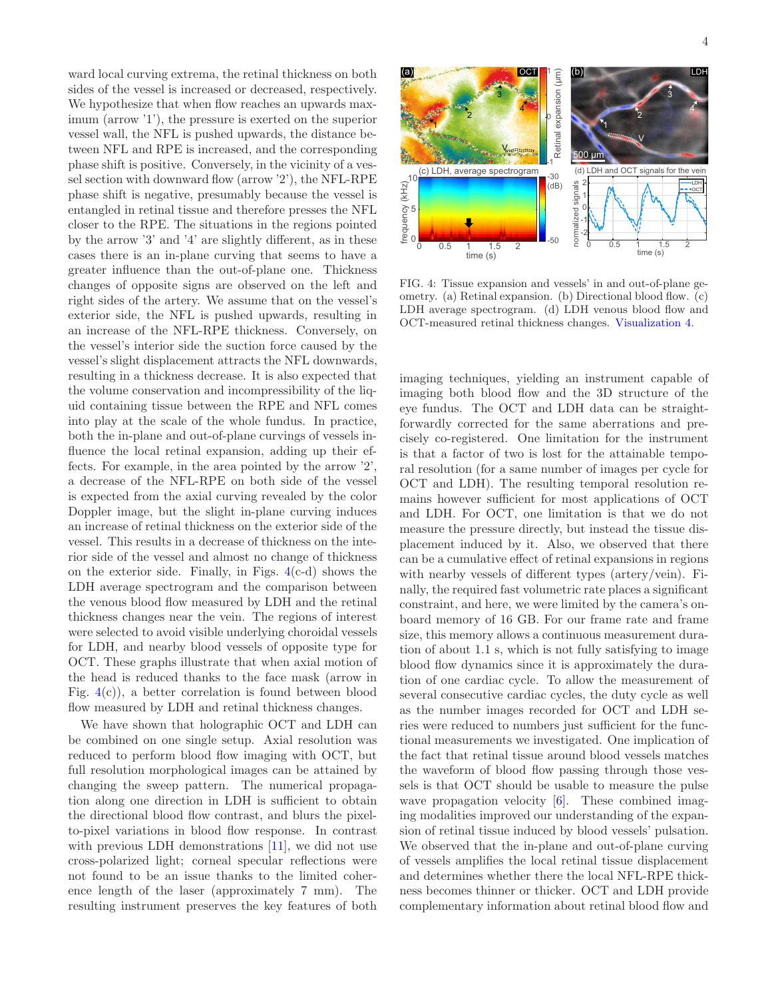ward local curving extrema, the retinal thickness on both sides of the vessel is increased or decreased, respectively. We hypothesize that when flow reaches an upwards maximum (arrow '1'), the pressure is exerted on the superior vessel wall, the NFL is pushed upwards, the distance between NFL and RPE is increased, and the corresponding phase shift is positive. Conversely, in the vicinity of a vessel section with downward flow (arrow '2'), the NFL-RPE phase shift is negative, presumably because the vessel is entangled in retinal tissue and therefore presses the NFL closer to the RPE. The situations in the regions pointed by the arrow '3' and '4' are slightly different, as in these cases there is an in-plane curving that seems to have a greater influence than the out-of-plane one. Thickness changes of opposite signs are observed on the left and right sides of the artery. We assume that on the vessel's exterior side, the NFL is pushed upwards, resulting in an increase of the NFL-RPE thickness. Conversely, on the vessel's interior side the suction force caused by the vessel's slight displacement attracts the NFL downwards, resulting in a thickness decrease. It is also expected that the volume conservation and incompressibility of the liquid containing tissue between the RPE and NFL comes into play at the scale of the whole fundus. In practice, both the in-plane and out-of-plane curvings of vessels influence the local retinal expansion, adding up their effects. For example, in the area pointed by the arrow '2', a decrease of the NFL-RPE on both side of the vessel is expected from the axial curving revealed by the color Doppler image, but the slight in-plane curving induces an increase of retinal thickness on the exterior side of the vessel. This results in a decrease of thickness on the interior side of the vessel and almost no change of thickness on the exterior side. Finally, in Figs.  $4(c-d)$  $4(c-d)$  shows the LDH average spectrogram and the comparison between the venous blood flow measured by LDH and the retinal thickness changes near the vein. The regions of interest were selected to avoid visible underlying choroidal vessels for LDH, and nearby blood vessels of opposite type for OCT. These graphs illustrate that when axial motion of the head is reduced thanks to the face mask (arrow in Fig.  $4(c)$  $4(c)$ , a better correlation is found between blood flow measured by LDH and retinal thickness changes.

We have shown that holographic OCT and LDH can be combined on one single setup. Axial resolution was reduced to perform blood flow imaging with OCT, but full resolution morphological images can be attained by changing the sweep pattern. The numerical propagation along one direction in LDH is sufficient to obtain the directional blood flow contrast, and blurs the pixelto-pixel variations in blood flow response. In contrast with previous LDH demonstrations [\[11](#page-4-6)], we did not use cross-polarized light; corneal specular reflections were not found to be an issue thanks to the limited coherence length of the laser (approximately 7 mm). The resulting instrument preserves the key features of both



<span id="page-3-0"></span>FIG. 4: Tissue expansion and vessels' in and out-of-plane geometry. (a) Retinal expansion. (b) Directional blood flow. (c) LDH average spectrogram. (d) LDH venous blood flow and OCT-measured retinal thickness changes. [Visualization 4.](https://opticapublishing.figshare.com/articles/media/Visualization_4_mp4/17207078)

imaging techniques, yielding an instrument capable of imaging both blood flow and the 3D structure of the eye fundus. The OCT and LDH data can be straightforwardly corrected for the same aberrations and precisely co-registered. One limitation for the instrument is that a factor of two is lost for the attainable temporal resolution (for a same number of images per cycle for OCT and LDH). The resulting temporal resolution remains however sufficient for most applications of OCT and LDH. For OCT, one limitation is that we do not measure the pressure directly, but instead the tissue displacement induced by it. Also, we observed that there can be a cumulative effect of retinal expansions in regions with nearby vessels of different types (artery/vein). Finally, the required fast volumetric rate places a significant constraint, and here, we were limited by the camera's onboard memory of 16 GB. For our frame rate and frame size, this memory allows a continuous measurement duration of about 1.1 s, which is not fully satisfying to image blood flow dynamics since it is approximately the duration of one cardiac cycle. To allow the measurement of several consecutive cardiac cycles, the duty cycle as well as the number images recorded for OCT and LDH series were reduced to numbers just sufficient for the functional measurements we investigated. One implication of the fact that retinal tissue around blood vessels matches the waveform of blood flow passing through those vessels is that OCT should be usable to measure the pulse wave propagation velocity [\[6](#page-4-13)]. These combined imaging modalities improved our understanding of the expansion of retinal tissue induced by blood vessels' pulsation. We observed that the in-plane and out-of-plane curving of vessels amplifies the local retinal tissue displacement and determines whether there the local NFL-RPE thickness becomes thinner or thicker. OCT and LDH provide complementary information about retinal blood flow and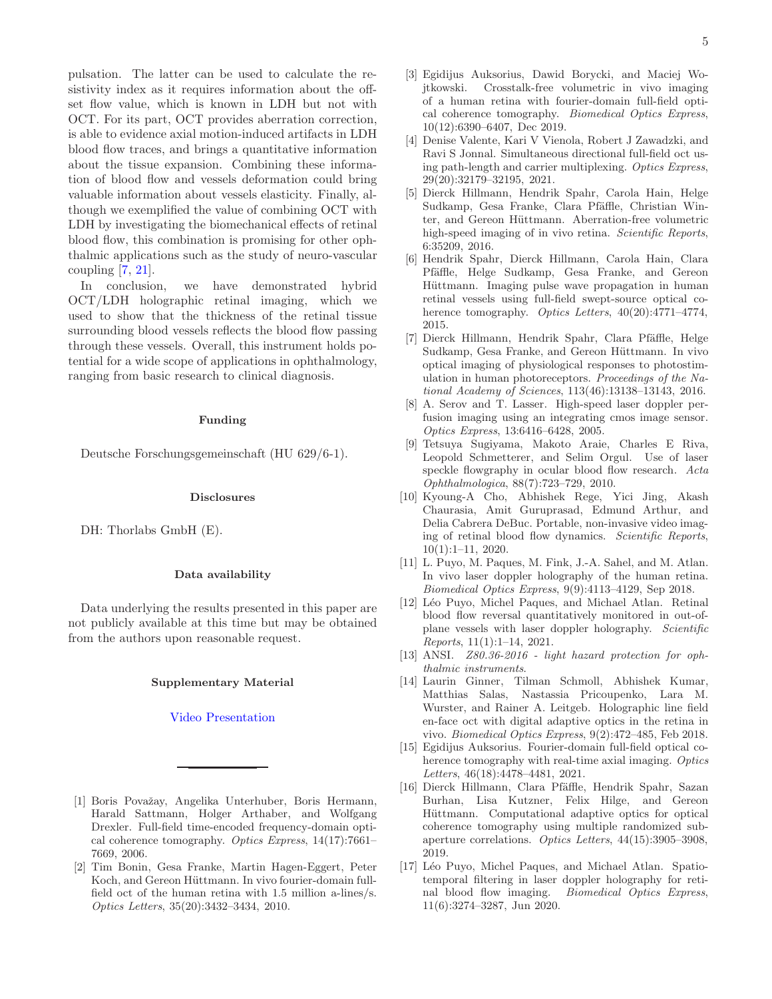pulsation. The latter can be used to calculate the resistivity index as it requires information about the offset flow value, which is known in LDH but not with OCT. For its part, OCT provides aberration correction, is able to evidence axial motion-induced artifacts in LDH blood flow traces, and brings a quantitative information about the tissue expansion. Combining these information of blood flow and vessels deformation could bring valuable information about vessels elasticity. Finally, although we exemplified the value of combining OCT with LDH by investigating the biomechanical effects of retinal blood flow, this combination is promising for other ophthalmic applications such as the study of neuro-vascular coupling  $[7, 21]$  $[7, 21]$ .

In conclusion, we have demonstrated hybrid OCT/LDH holographic retinal imaging, which we used to show that the thickness of the retinal tissue surrounding blood vessels reflects the blood flow passing through these vessels. Overall, this instrument holds potential for a wide scope of applications in ophthalmology, ranging from basic research to clinical diagnosis.

### Funding

Deutsche Forschungsgemeinschaft (HU 629/6-1).

## Disclosures

DH: Thorlabs GmbH (E).

#### Data availability

Data underlying the results presented in this paper are not publicly available at this time but may be obtained from the authors upon reasonable request.

#### Supplementary Material

#### [Video Presentation](https://youtu.be/TDqk9vg9a04)

- <span id="page-4-0"></span>[1] Boris Považay, Angelika Unterhuber, Boris Hermann, Harald Sattmann, Holger Arthaber, and Wolfgang Drexler. Full-field time-encoded frequency-domain optical coherence tomography. Optics Express, 14(17):7661– 7669, 2006.
- [2] Tim Bonin, Gesa Franke, Martin Hagen-Eggert, Peter Koch, and Gereon Hüttmann. In vivo fourier-domain fullfield oct of the human retina with 1.5 million a-lines/s. Optics Letters, 35(20):3432–3434, 2010.
- [3] Egidijus Auksorius, Dawid Borycki, and Maciej Wojtkowski. Crosstalk-free volumetric in vivo imaging of a human retina with fourier-domain full-field optical coherence tomography. Biomedical Optics Express, 10(12):6390–6407, Dec 2019.
- <span id="page-4-1"></span>[4] Denise Valente, Kari V Vienola, Robert J Zawadzki, and Ravi S Jonnal. Simultaneous directional full-field oct using path-length and carrier multiplexing. Optics Express, 29(20):32179–32195, 2021.
- <span id="page-4-2"></span>[5] Dierck Hillmann, Hendrik Spahr, Carola Hain, Helge Sudkamp, Gesa Franke, Clara Pfäffle, Christian Winter, and Gereon Hüttmann. Aberration-free volumetric high-speed imaging of in vivo retina. Scientific Reports, 6:35209, 2016.
- <span id="page-4-13"></span>[6] Hendrik Spahr, Dierck Hillmann, Carola Hain, Clara Pfäffle, Helge Sudkamp, Gesa Franke, and Gereon Hüttmann. Imaging pulse wave propagation in human retinal vessels using full-field swept-source optical coherence tomography. Optics Letters,  $40(20):4771-4774$ , 2015.
- <span id="page-4-3"></span>[7] Dierck Hillmann, Hendrik Spahr, Clara Pfäffle, Helge Sudkamp, Gesa Franke, and Gereon Hüttmann. In vivo optical imaging of physiological responses to photostimulation in human photoreceptors. Proceedings of the National Academy of Sciences, 113(46):13138–13143, 2016.
- <span id="page-4-4"></span>[8] A. Serov and T. Lasser. High-speed laser doppler perfusion imaging using an integrating cmos image sensor. Optics Express, 13:6416–6428, 2005.
- [9] Tetsuya Sugiyama, Makoto Araie, Charles E Riva, Leopold Schmetterer, and Selim Orgul. Use of laser speckle flowgraphy in ocular blood flow research. Acta Ophthalmologica, 88(7):723–729, 2010.
- <span id="page-4-5"></span>[10] Kyoung-A Cho, Abhishek Rege, Yici Jing, Akash Chaurasia, Amit Guruprasad, Edmund Arthur, and Delia Cabrera DeBuc. Portable, non-invasive video imaging of retinal blood flow dynamics. Scientific Reports, 10(1):1–11, 2020.
- <span id="page-4-6"></span>[11] L. Puyo, M. Paques, M. Fink, J.-A. Sahel, and M. Atlan. In vivo laser doppler holography of the human retina. Biomedical Optics Express, 9(9):4113–4129, Sep 2018.
- <span id="page-4-7"></span>[12] Léo Puyo, Michel Paques, and Michael Atlan. Retinal blood flow reversal quantitatively monitored in out-ofplane vessels with laser doppler holography. Scientific Reports, 11(1):1–14, 2021.
- <span id="page-4-8"></span>[13] ANSI. *Z80.36-2016* - light hazard protection for ophthalmic instruments.
- <span id="page-4-9"></span>[14] Laurin Ginner, Tilman Schmoll, Abhishek Kumar, Matthias Salas, Nastassia Pricoupenko, Lara M. Wurster, and Rainer A. Leitgeb. Holographic line field en-face oct with digital adaptive optics in the retina in vivo. Biomedical Optics Express, 9(2):472–485, Feb 2018.
- <span id="page-4-10"></span>[15] Egidijus Auksorius. Fourier-domain full-field optical coherence tomography with real-time axial imaging. Optics Letters, 46(18):4478–4481, 2021.
- <span id="page-4-11"></span>[16] Dierck Hillmann, Clara Pfäffle, Hendrik Spahr, Sazan Burhan, Lisa Kutzner, Felix Hilge, and Gereon Hüttmann. Computational adaptive optics for optical coherence tomography using multiple randomized subaperture correlations. Optics Letters, 44(15):3905–3908, 2019.
- <span id="page-4-12"></span>[17] Léo Puyo, Michel Paques, and Michael Atlan. Spatiotemporal filtering in laser doppler holography for retinal blood flow imaging. Biomedical Optics Express, 11(6):3274–3287, Jun 2020.